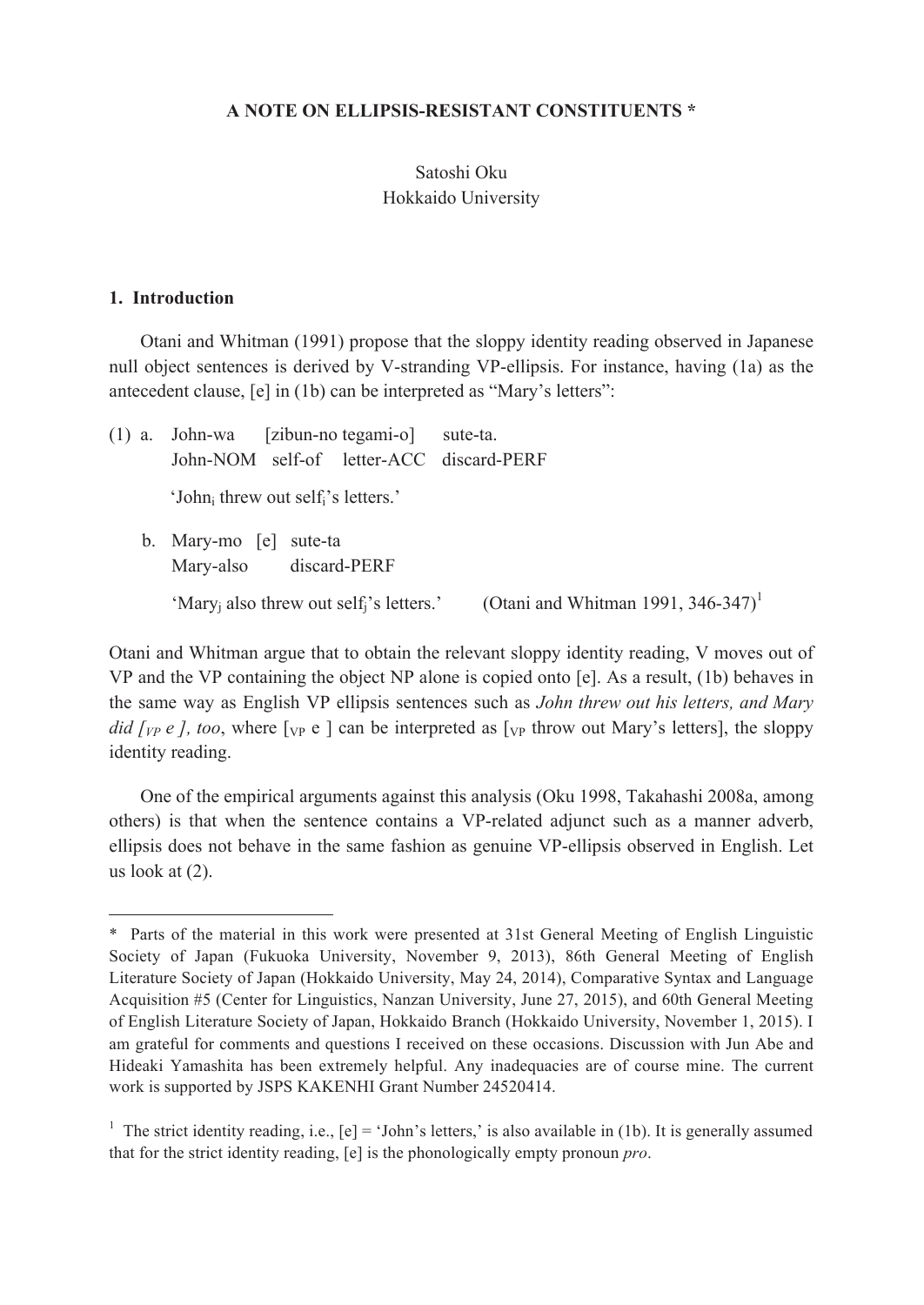#### **A NOTE ON ELLIPSIS-RESISTANT CONSTITUENTS \***

### Satoshi Oku Hokkaido University

### **1. Introduction**

 $\overline{a}$ 

Otani and Whitman (1991) propose that the sloppy identity reading observed in Japanese null object sentences is derived by V-stranding VP-ellipsis. For instance, having (1a) as the antecedent clause, [e] in (1b) can be interpreted as "Mary's letters":

(1) a. John-wa [zibun-no tegami-o] sute-ta. John-NOM self-of letter-ACC discard-PERF 'John<sub>i</sub> threw out self<sub>i</sub>'s letters.' b. Mary-mo [e] sute-ta

Mary-also discard-PERF

'Mary<sub>i</sub> also threw out self<sub>i</sub>'s letters.' (Otani and Whitman 1991, 346-347)<sup>1</sup>

Otani and Whitman argue that to obtain the relevant sloppy identity reading, V moves out of VP and the VP containing the object NP alone is copied onto [e]. As a result, (1b) behaves in the same way as English VP ellipsis sentences such as *John threw out his letters, and Mary did [vp e ], too,* where  $\lceil v \rceil$  can be interpreted as  $\lceil v \rceil$  throw out Mary's letters], the sloppy identity reading.

One of the empirical arguments against this analysis (Oku 1998, Takahashi 2008a, among others) is that when the sentence contains a VP-related adjunct such as a manner adverb, ellipsis does not behave in the same fashion as genuine VP-ellipsis observed in English. Let us look at (2).

<sup>\*</sup> Parts of the material in this work were presented at 31st General Meeting of English Linguistic Society of Japan (Fukuoka University, November 9, 2013), 86th General Meeting of English Literature Society of Japan (Hokkaido University, May 24, 2014), Comparative Syntax and Language Acquisition #5 (Center for Linguistics, Nanzan University, June 27, 2015), and 60th General Meeting of English Literature Society of Japan, Hokkaido Branch (Hokkaido University, November 1, 2015). I am grateful for comments and questions I received on these occasions. Discussion with Jun Abe and Hideaki Yamashita has been extremely helpful. Any inadequacies are of course mine. The current work is supported by JSPS KAKENHI Grant Number 24520414.

<sup>&</sup>lt;sup>1</sup> The strict identity reading, i.e.,  $[e] = 'John's letters,'$  is also available in (1b). It is generally assumed that for the strict identity reading, [e] is the phonologically empty pronoun *pro*.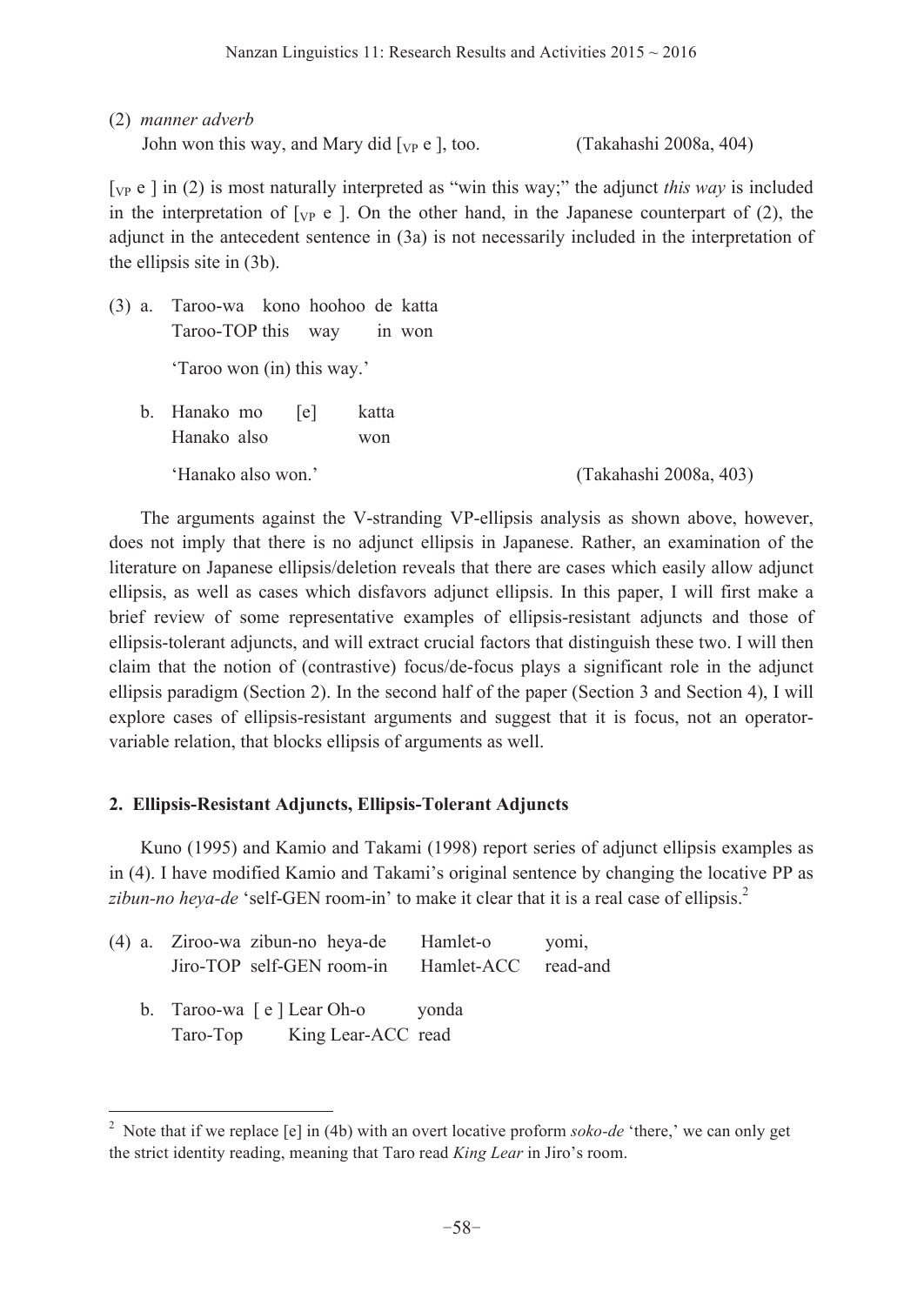(2) *manner adverb*

 $\overline{a}$ 

John won this way, and Mary did  $[\text{v}_P \text{ e}]$ , too. (Takahashi 2008a, 404)

[VP e ] in (2) is most naturally interpreted as "win this way;" the adjunct *this way* is included in the interpretation of  $[\nabla_{P} e]$ . On the other hand, in the Japanese counterpart of (2), the adjunct in the antecedent sentence in (3a) is not necessarily included in the interpretation of the ellipsis site in (3b).

(3) a. Taroo-wa kono hoohoo de katta Taroo-TOP this way in won 'Taroo won (in) this way.' b. Hanako mo [e] katta Hanako also won 'Hanako also won.' (Takahashi 2008a, 403)

The arguments against the V-stranding VP-ellipsis analysis as shown above, however, does not imply that there is no adjunct ellipsis in Japanese. Rather, an examination of the literature on Japanese ellipsis/deletion reveals that there are cases which easily allow adjunct ellipsis, as well as cases which disfavors adjunct ellipsis. In this paper, I will first make a brief review of some representative examples of ellipsis-resistant adjuncts and those of ellipsis-tolerant adjuncts, and will extract crucial factors that distinguish these two. I will then claim that the notion of (contrastive) focus/de-focus plays a significant role in the adjunct ellipsis paradigm (Section 2). In the second half of the paper (Section 3 and Section 4), I will explore cases of ellipsis-resistant arguments and suggest that it is focus, not an operatorvariable relation, that blocks ellipsis of arguments as well.

# **2. Ellipsis-Resistant Adjuncts, Ellipsis-Tolerant Adjuncts**

Kuno (1995) and Kamio and Takami (1998) report series of adjunct ellipsis examples as in (4). I have modified Kamio and Takami's original sentence by changing the locative PP as zibun-no heya-de 'self-GEN room-in' to make it clear that it is a real case of ellipsis.<sup>2</sup>

|  | (4) a. Ziroo-wa zibun-no heya-de<br>Jiro-TOP self-GEN room-in Hamlet-ACC read-and | Hamlet-o | yomi, |
|--|-----------------------------------------------------------------------------------|----------|-------|
|  | b. Taroo-wa [e] Lear Oh-o vonda<br>Taro-Top King Lear-ACC read                    |          |       |

<sup>&</sup>lt;sup>2</sup> Note that if we replace [e] in (4b) with an overt locative proform *soko-de* 'there,' we can only get the strict identity reading, meaning that Taro read *King Lear* in Jiro's room.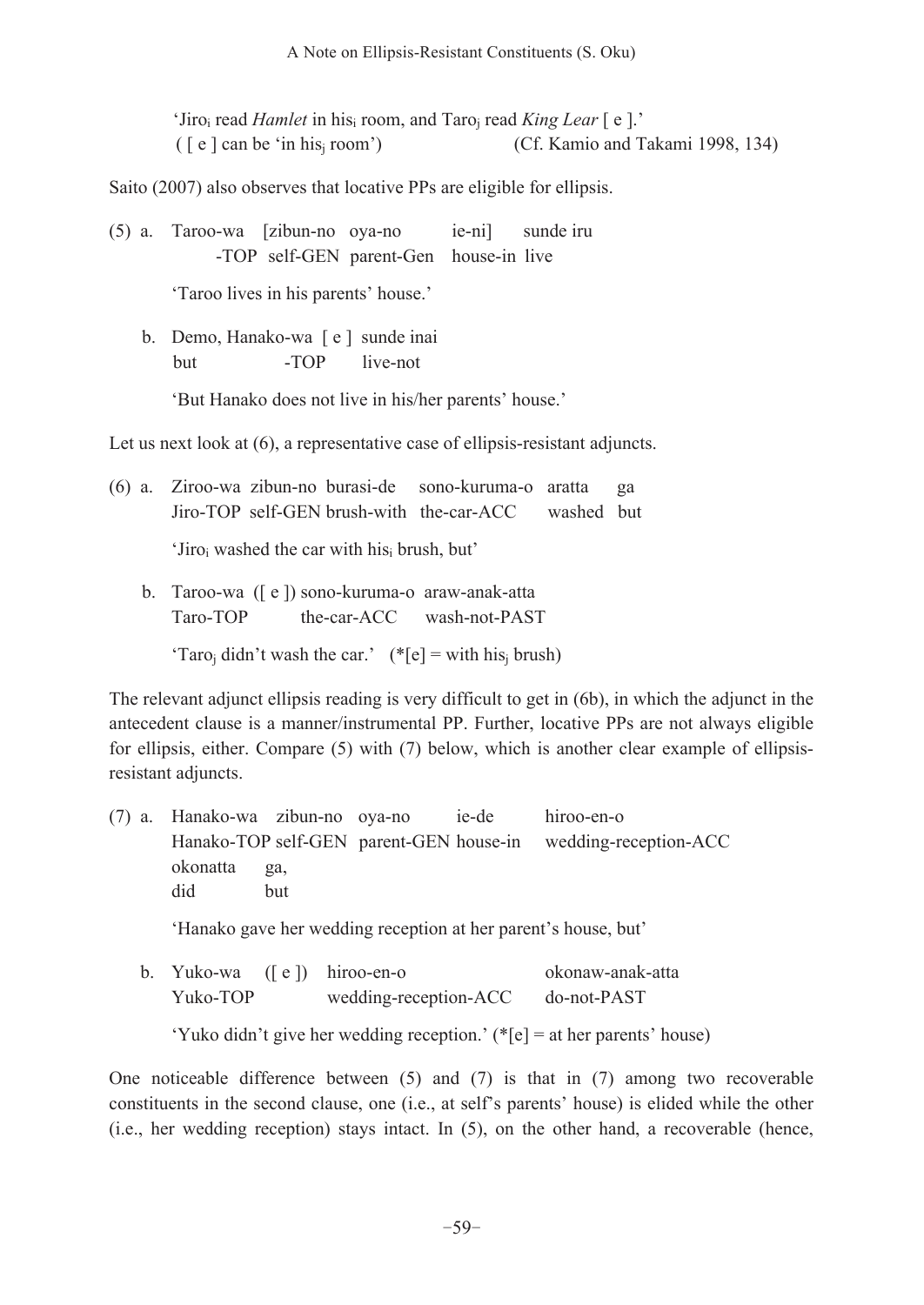'Jiroi read *Hamlet* in hisi room, and Taroj read *King Lear* [ e ].'  $(\lceil e \rceil)$  can be 'in his<sub>i</sub> room') (Cf. Kamio and Takami 1998, 134)

Saito (2007) also observes that locative PPs are eligible for ellipsis.

| (5) a. Taroo-wa [zibun-no oya-no     |  |                                        | ie-ni) sunde iru |
|--------------------------------------|--|----------------------------------------|------------------|
|                                      |  | -TOP self-GEN parent-Gen house-in live |                  |
| 'Taroo lives in his parents' house.' |  |                                        |                  |
| b. Demo, Hanako-wa [e] sunde inai    |  |                                        |                  |
| <b>but</b>                           |  | -TOP live-not                          |                  |

'But Hanako does not live in his/her parents' house.'

Let us next look at  $(6)$ , a representative case of ellipsis-resistant adjuncts.

(6) a. Ziroo-wa zibun-no burasi-de sono-kuruma-o aratta ga Jiro-TOP self-GEN brush-with the-car-ACC washed but

'Jiroi washed the car with hisi brush, but'

 b. Taroo-wa ([ e ]) sono-kuruma-o araw-anak-atta Taro-TOP the-car-ACC wash-not-PAST

'Taro<sub>i</sub> didn't wash the car.'  $(*[e] = with his<sub>i</sub> brush)$ 

The relevant adjunct ellipsis reading is very difficult to get in (6b), in which the adjunct in the antecedent clause is a manner/instrumental PP. Further, locative PPs are not always eligible for ellipsis, either. Compare (5) with (7) below, which is another clear example of ellipsisresistant adjuncts.

(7) a. Hanako-wa zibun-no oya-no ie-de hiroo-en-o Hanako-TOP self-GEN parent-GEN house-in wedding-reception-ACC okonatta ga, did but

'Hanako gave her wedding reception at her parent's house, but'

 b. Yuko-wa ([ e ]) hiroo-en-o okonaw-anak-atta Yuko-TOP wedding-reception-ACC do-not-PAST

'Yuko didn't give her wedding reception.' (\*[e] = at her parents' house)

One noticeable difference between  $(5)$  and  $(7)$  is that in  $(7)$  among two recoverable constituents in the second clause, one (i.e., at self's parents' house) is elided while the other (i.e., her wedding reception) stays intact. In (5), on the other hand, a recoverable (hence,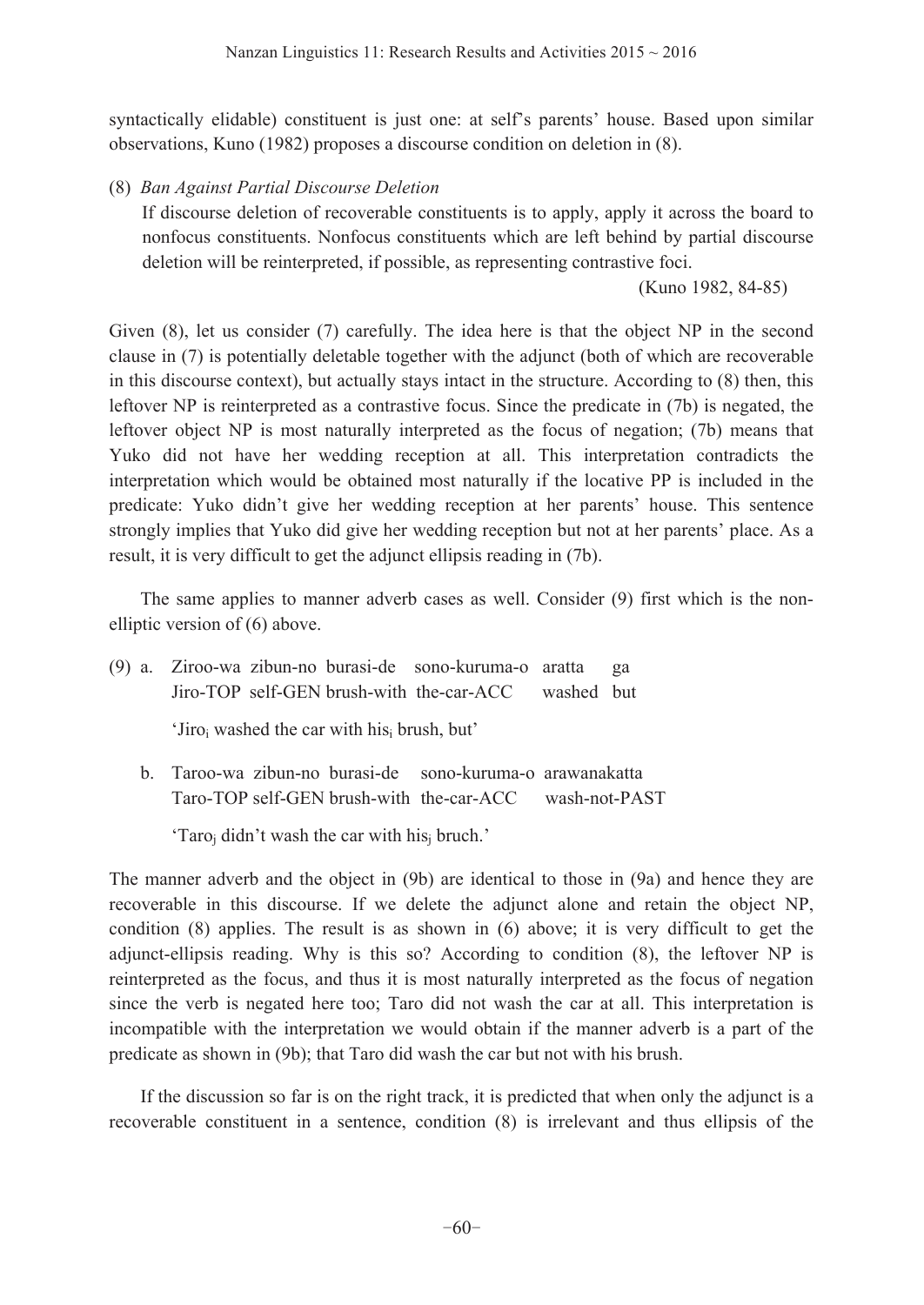syntactically elidable) constituent is just one: at self's parents' house. Based upon similar observations, Kuno (1982) proposes a discourse condition on deletion in (8).

(8) *Ban Against Partial Discourse Deletion*

 If discourse deletion of recoverable constituents is to apply, apply it across the board to nonfocus constituents. Nonfocus constituents which are left behind by partial discourse deletion will be reinterpreted, if possible, as representing contrastive foci.

(Kuno 1982, 84-85)

Given (8), let us consider (7) carefully. The idea here is that the object NP in the second clause in (7) is potentially deletable together with the adjunct (both of which are recoverable in this discourse context), but actually stays intact in the structure. According to (8) then, this leftover NP is reinterpreted as a contrastive focus. Since the predicate in (7b) is negated, the leftover object NP is most naturally interpreted as the focus of negation; (7b) means that Yuko did not have her wedding reception at all. This interpretation contradicts the interpretation which would be obtained most naturally if the locative PP is included in the predicate: Yuko didn't give her wedding reception at her parents' house. This sentence strongly implies that Yuko did give her wedding reception but not at her parents' place. As a result, it is very difficult to get the adjunct ellipsis reading in (7b).

The same applies to manner adverb cases as well. Consider (9) first which is the nonelliptic version of (6) above.

(9) a. Ziroo-wa zibun-no burasi-de sono-kuruma-o aratta ga Jiro-TOP self-GEN brush-with the-car-ACC washed but

'Jiroi washed the car with hisi brush, but'

 b. Taroo-wa zibun-no burasi-de sono-kuruma-o arawanakatta Taro-TOP self-GEN brush-with the-car-ACC wash-not-PAST

'Taroj didn't wash the car with hisj bruch.'

The manner adverb and the object in (9b) are identical to those in (9a) and hence they are recoverable in this discourse. If we delete the adjunct alone and retain the object NP, condition (8) applies. The result is as shown in (6) above; it is very difficult to get the adjunct-ellipsis reading. Why is this so? According to condition (8), the leftover NP is reinterpreted as the focus, and thus it is most naturally interpreted as the focus of negation since the verb is negated here too; Taro did not wash the car at all. This interpretation is incompatible with the interpretation we would obtain if the manner adverb is a part of the predicate as shown in (9b); that Taro did wash the car but not with his brush.

 If the discussion so far is on the right track, it is predicted that when only the adjunct is a recoverable constituent in a sentence, condition (8) is irrelevant and thus ellipsis of the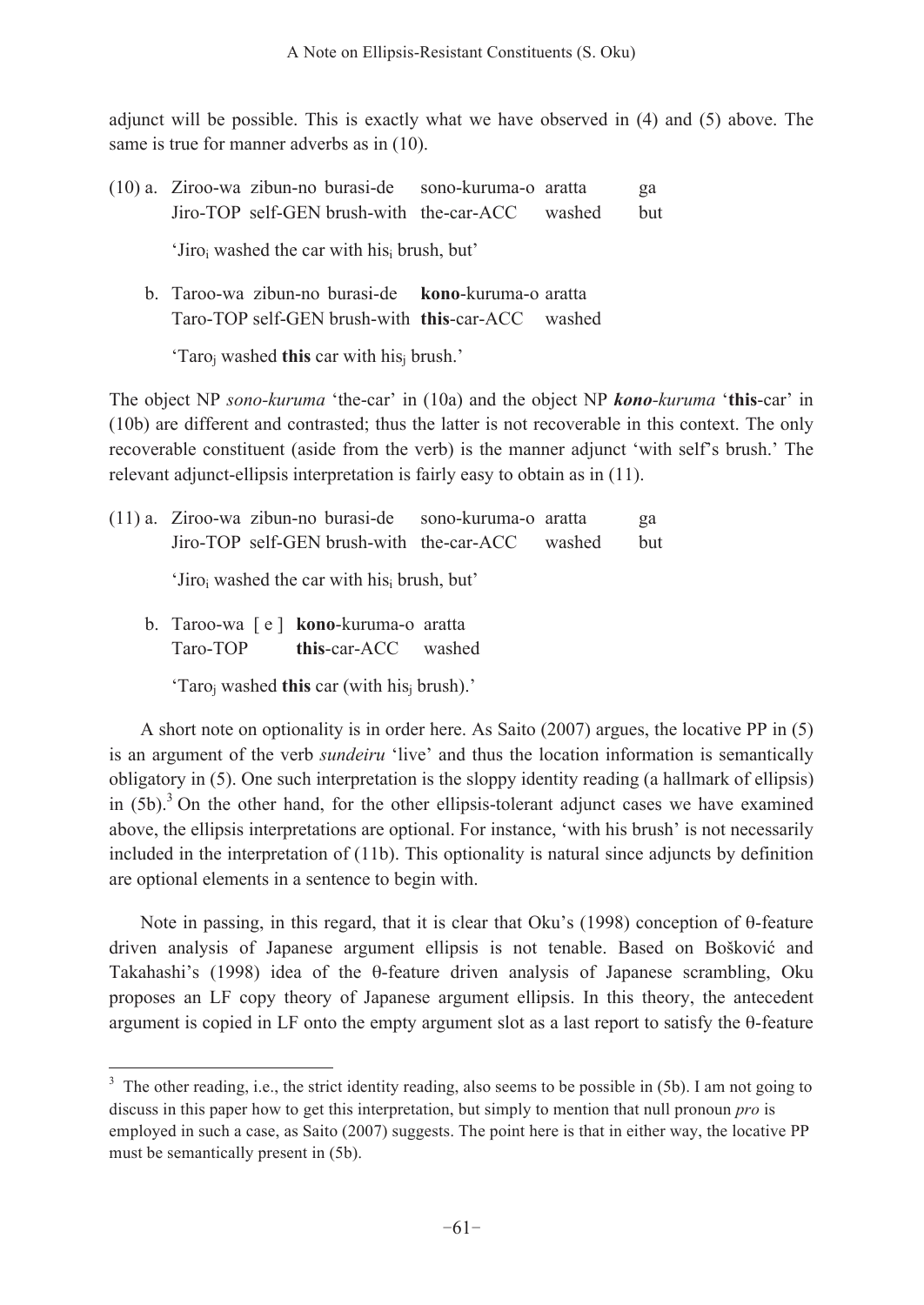adjunct will be possible. This is exactly what we have observed in (4) and (5) above. The same is true for manner adverbs as in  $(10)$ .

- (10) a. Ziroo-wa zibun-no burasi-de sono-kuruma-o aratta ga Jiro-TOP self-GEN brush-with the-car-ACC washed but 'Jiroi washed the car with hisi brush, but'
	- b. Taroo-wa zibun-no burasi-de **kono**-kuruma-o aratta Taro-TOP self-GEN brush-with **this**-car-ACC washed

'Taroj washed **this** car with hisj brush.'

The object NP *sono-kuruma* 'the-car' in (10a) and the object NP *kono-kuruma* '**this**-car' in (10b) are different and contrasted; thus the latter is not recoverable in this context. The only recoverable constituent (aside from the verb) is the manner adjunct 'with self's brush.' The relevant adjunct-ellipsis interpretation is fairly easy to obtain as in (11).

| (11) a. Ziroo-wa zibun-no burasi-de sono-kuruma-o aratta            |  |  | ga         |  |  |
|---------------------------------------------------------------------|--|--|------------|--|--|
| Jiro-TOP self-GEN brush-with the-car-ACC washed                     |  |  | <b>but</b> |  |  |
| 'Jiro <sub>i</sub> washed the car with his <sub>i</sub> brush, but' |  |  |            |  |  |
| b. Taroo-wa [e] kono-kuruma-o aratta                                |  |  |            |  |  |

Taro-TOP **this**-car-ACC washed

 $\overline{a}$ 

'Taroj washed **this** car (with hisj brush).'

 A short note on optionality is in order here. As Saito (2007) argues, the locative PP in (5) is an argument of the verb *sundeiru* 'live' and thus the location information is semantically obligatory in (5). One such interpretation is the sloppy identity reading (a hallmark of ellipsis) in  $(5b)$ .<sup>3</sup> On the other hand, for the other ellipsis-tolerant adjunct cases we have examined above, the ellipsis interpretations are optional. For instance, 'with his brush' is not necessarily included in the interpretation of (11b). This optionality is natural since adjuncts by definition are optional elements in a sentence to begin with.

 Note in passing, in this regard, that it is clear that Oku's (1998) conception of θ-feature driven analysis of Japanese argument ellipsis is not tenable. Based on Bošković and Takahashi's (1998) idea of the θ-feature driven analysis of Japanese scrambling, Oku proposes an LF copy theory of Japanese argument ellipsis. In this theory, the antecedent argument is copied in LF onto the empty argument slot as a last report to satisfy the θ-feature

<sup>&</sup>lt;sup>3</sup> The other reading, i.e., the strict identity reading, also seems to be possible in (5b). I am not going to discuss in this paper how to get this interpretation, but simply to mention that null pronoun *pro* is employed in such a case, as Saito (2007) suggests. The point here is that in either way, the locative PP must be semantically present in (5b).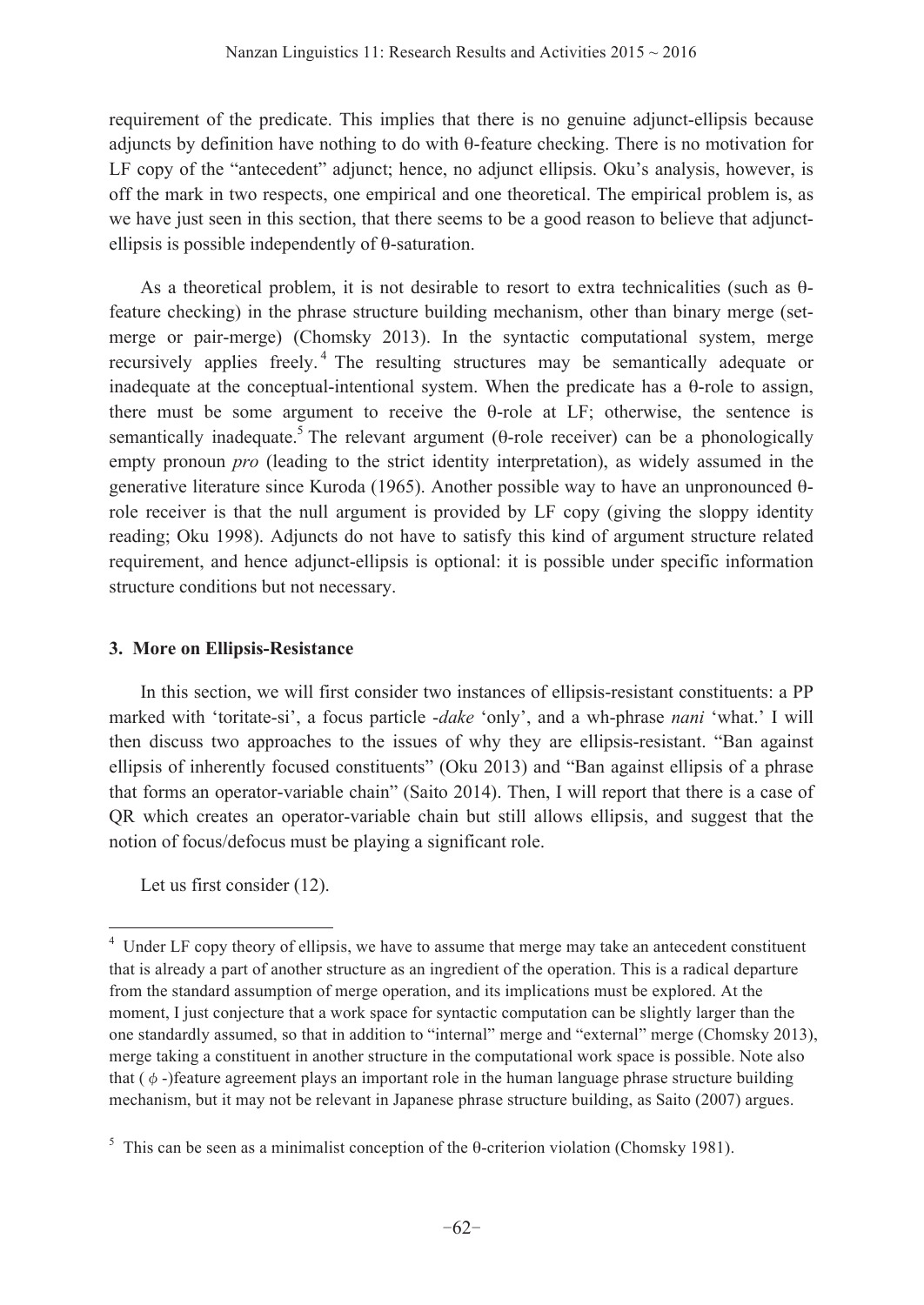requirement of the predicate. This implies that there is no genuine adjunct-ellipsis because adjuncts by definition have nothing to do with θ-feature checking. There is no motivation for LF copy of the "antecedent" adjunct; hence, no adjunct ellipsis. Oku's analysis, however, is off the mark in two respects, one empirical and one theoretical. The empirical problem is, as we have just seen in this section, that there seems to be a good reason to believe that adjunctellipsis is possible independently of θ-saturation.

As a theoretical problem, it is not desirable to resort to extra technicalities (such as θfeature checking) in the phrase structure building mechanism, other than binary merge (setmerge or pair-merge) (Chomsky 2013). In the syntactic computational system, merge recursively applies freely. 4 The resulting structures may be semantically adequate or inadequate at the conceptual-intentional system. When the predicate has a θ-role to assign, there must be some argument to receive the θ-role at LF; otherwise, the sentence is semantically inadequate.<sup>5</sup> The relevant argument (θ-role receiver) can be a phonologically empty pronoun *pro* (leading to the strict identity interpretation), as widely assumed in the generative literature since Kuroda (1965). Another possible way to have an unpronounced θrole receiver is that the null argument is provided by LF copy (giving the sloppy identity reading; Oku 1998). Adjuncts do not have to satisfy this kind of argument structure related requirement, and hence adjunct-ellipsis is optional: it is possible under specific information structure conditions but not necessary.

## **3. More on Ellipsis-Resistance**

 In this section, we will first consider two instances of ellipsis-resistant constituents: a PP marked with 'toritate-si', a focus particle -*dake* 'only', and a wh-phrase *nani* 'what.' I will then discuss two approaches to the issues of why they are ellipsis-resistant. "Ban against ellipsis of inherently focused constituents" (Oku 2013) and "Ban against ellipsis of a phrase that forms an operator-variable chain" (Saito 2014). Then, I will report that there is a case of QR which creates an operator-variable chain but still allows ellipsis, and suggest that the notion of focus/defocus must be playing a significant role.

Let us first consider (12).

 $\overline{a}$ 

<sup>&</sup>lt;sup>4</sup> Under LF copy theory of ellipsis, we have to assume that merge may take an antecedent constituent that is already a part of another structure as an ingredient of the operation. This is a radical departure from the standard assumption of merge operation, and its implications must be explored. At the moment, I just conjecture that a work space for syntactic computation can be slightly larger than the one standardly assumed, so that in addition to "internal" merge and "external" merge (Chomsky 2013), merge taking a constituent in another structure in the computational work space is possible. Note also that  $(\phi)$ -)feature agreement plays an important role in the human language phrase structure building mechanism, but it may not be relevant in Japanese phrase structure building, as Saito (2007) argues.

<sup>&</sup>lt;sup>5</sup> This can be seen as a minimalist conception of the  $\theta$ -criterion violation (Chomsky 1981).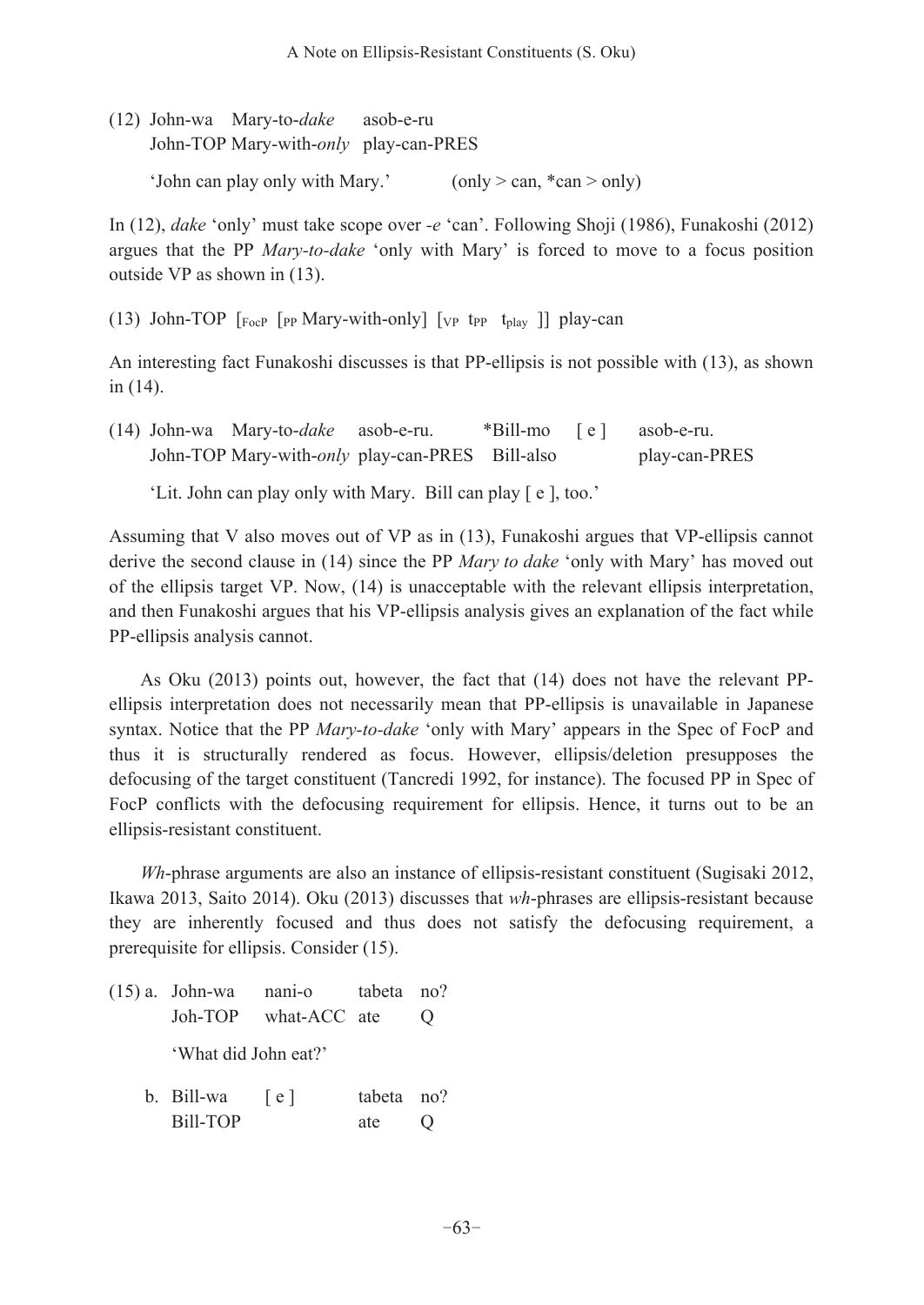(12) John-wa Mary-to-*dake* asob-e-ru John-TOP Mary-with-*only* play-can-PRES 'John can play only with Mary.' (only  $>$  can,  $*$  can  $>$  only)

In (12), *dake* 'only' must take scope over *-e* 'can'. Following Shoji (1986), Funakoshi (2012) argues that the PP *Mary-to-dake* 'only with Mary' is forced to move to a focus position outside VP as shown in (13).

(13) John-TOP  $\lceil_{\text{FocP}} \rceil$  [PP Mary-with-only]  $\lceil_{\text{VP}} \rceil$  t<sub>play</sub> ]] play-can

An interesting fact Funakoshi discusses is that PP-ellipsis is not possible with (13), as shown in (14).

|  | (14) John-wa Mary-to- <i>dake</i> asob-e-ru.    | *Bill-mo [e] asob-e-ru. |               |
|--|-------------------------------------------------|-------------------------|---------------|
|  | John-TOP Mary-with-only play-can-PRES Bill-also |                         | play-can-PRES |

'Lit. John can play only with Mary. Bill can play [ e ], too.'

Assuming that V also moves out of VP as in (13), Funakoshi argues that VP-ellipsis cannot derive the second clause in (14) since the PP *Mary to dake* 'only with Mary' has moved out of the ellipsis target VP. Now, (14) is unacceptable with the relevant ellipsis interpretation, and then Funakoshi argues that his VP-ellipsis analysis gives an explanation of the fact while PP-ellipsis analysis cannot.

 As Oku (2013) points out, however, the fact that (14) does not have the relevant PPellipsis interpretation does not necessarily mean that PP-ellipsis is unavailable in Japanese syntax. Notice that the PP *Mary-to-dake* 'only with Mary' appears in the Spec of FocP and thus it is structurally rendered as focus. However, ellipsis/deletion presupposes the defocusing of the target constituent (Tancredi 1992, for instance). The focused PP in Spec of FocP conflicts with the defocusing requirement for ellipsis. Hence, it turns out to be an ellipsis-resistant constituent.

*Wh*-phrase arguments are also an instance of ellipsis-resistant constituent (Sugisaki 2012, Ikawa 2013, Saito 2014). Oku (2013) discusses that *wh*-phrases are ellipsis-resistant because they are inherently focused and thus does not satisfy the defocusing requirement, a prerequisite for ellipsis. Consider (15).

| $(15)$ a. John-wa nani-o tabeta no? |                      |            |  |
|-------------------------------------|----------------------|------------|--|
|                                     | Joh-TOP what-ACC ate |            |  |
| 'What did John eat?'                |                      |            |  |
| b. Bill-wa $\lceil e \rceil$        |                      | tabeta no? |  |

Bill-TOP ate Q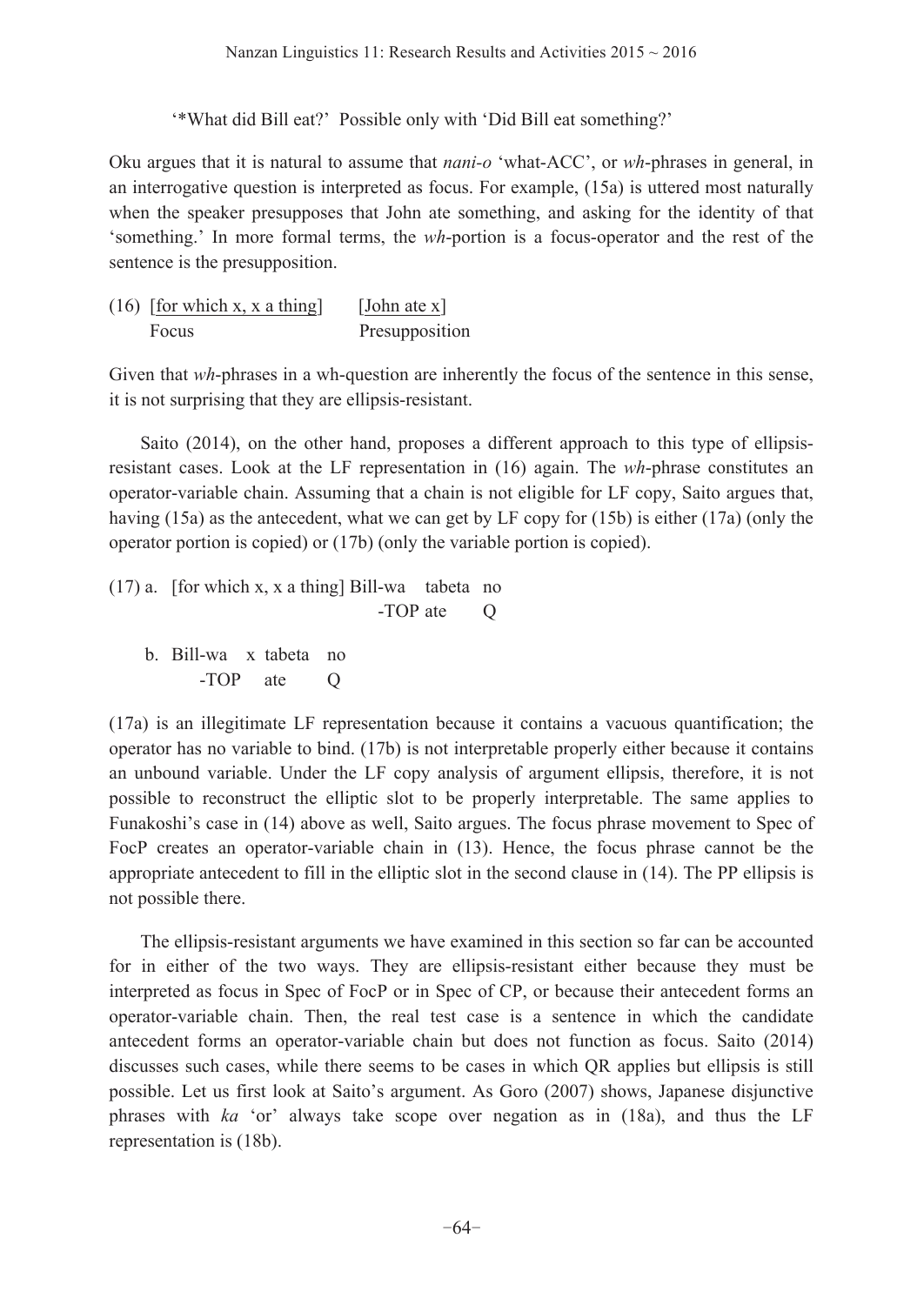'\*What did Bill eat?' Possible only with 'Did Bill eat something?'

Oku argues that it is natural to assume that *nani-o* 'what-ACC', or *wh*-phrases in general, in an interrogative question is interpreted as focus. For example, (15a) is uttered most naturally when the speaker presupposes that John ate something, and asking for the identity of that 'something.' In more formal terms, the *wh*-portion is a focus-operator and the rest of the sentence is the presupposition.

(16) [for which x, x a thing] [John ate x] Focus Presupposition

Given that *wh*-phrases in a wh-question are inherently the focus of the sentence in this sense, it is not surprising that they are ellipsis-resistant.

 Saito (2014), on the other hand, proposes a different approach to this type of ellipsisresistant cases. Look at the LF representation in (16) again. The *wh*-phrase constitutes an operator-variable chain. Assuming that a chain is not eligible for LF copy, Saito argues that, having (15a) as the antecedent, what we can get by LF copy for (15b) is either (17a) (only the operator portion is copied) or (17b) (only the variable portion is copied).

(17) a. [for which x, x a thing] Bill-wa tabeta no -TOP ate O b. Bill-wa x tabeta no -TOP ate O

(17a) is an illegitimate LF representation because it contains a vacuous quantification; the operator has no variable to bind. (17b) is not interpretable properly either because it contains an unbound variable. Under the LF copy analysis of argument ellipsis, therefore, it is not possible to reconstruct the elliptic slot to be properly interpretable. The same applies to Funakoshi's case in (14) above as well, Saito argues. The focus phrase movement to Spec of FocP creates an operator-variable chain in (13). Hence, the focus phrase cannot be the appropriate antecedent to fill in the elliptic slot in the second clause in (14). The PP ellipsis is not possible there.

 The ellipsis-resistant arguments we have examined in this section so far can be accounted for in either of the two ways. They are ellipsis-resistant either because they must be interpreted as focus in Spec of FocP or in Spec of CP, or because their antecedent forms an operator-variable chain. Then, the real test case is a sentence in which the candidate antecedent forms an operator-variable chain but does not function as focus. Saito (2014) discusses such cases, while there seems to be cases in which QR applies but ellipsis is still possible. Let us first look at Saito's argument. As Goro (2007) shows, Japanese disjunctive phrases with *ka* 'or' always take scope over negation as in (18a), and thus the LF representation is (18b).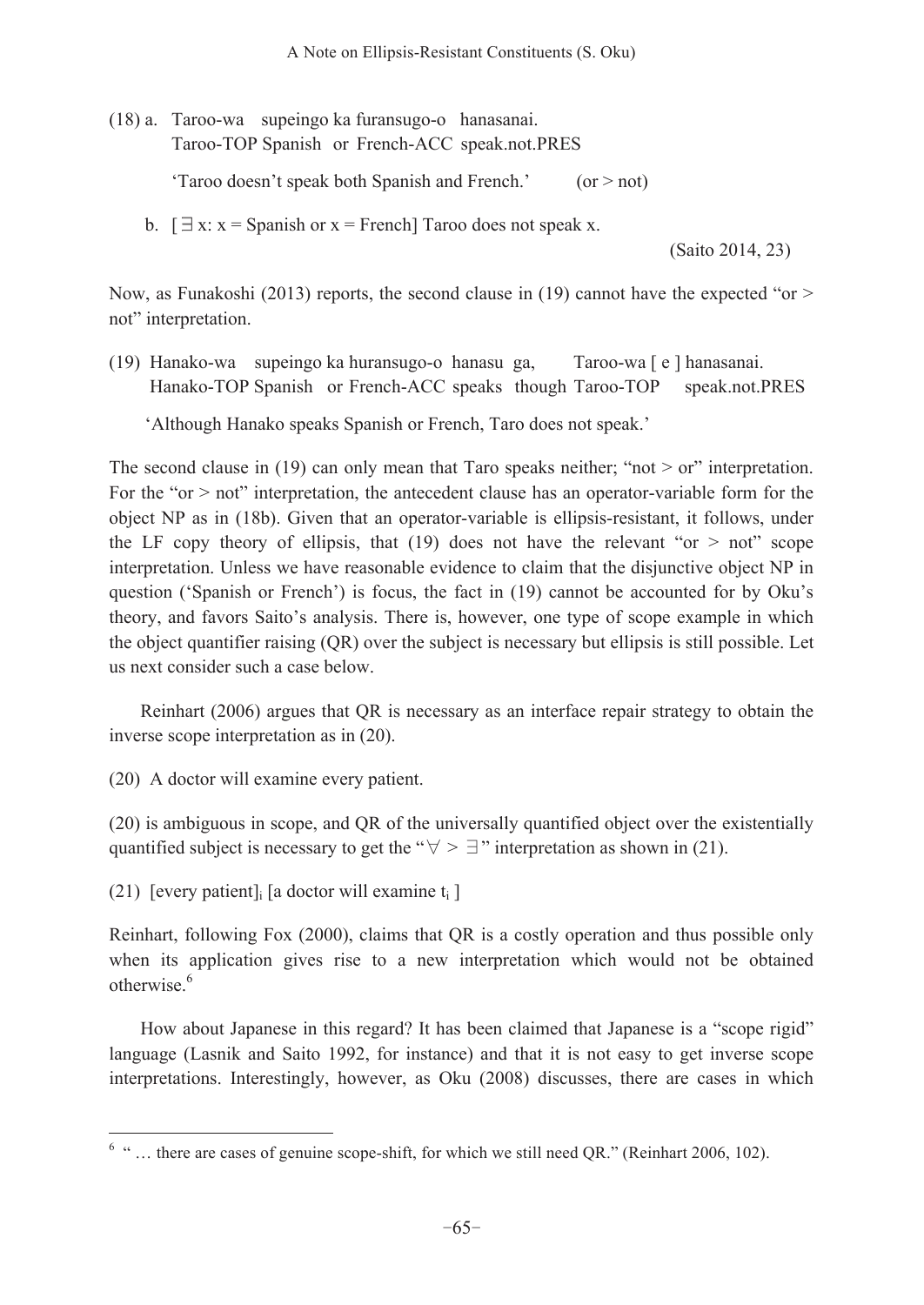(18) a. Taroo-wa supeingo ka furansugo-o hanasanai.

Taroo-TOP Spanish or French-ACC speak.not.PRES

'Taroo doesn't speak both Spanish and French.' (or > not)

b.  $[\exists x: x =$  Spanish or  $x =$  French] Taroo does not speak x.

(Saito 2014, 23)

Now, as Funakoshi (2013) reports, the second clause in (19) cannot have the expected "or  $>$ not" interpretation.

(19) Hanako-wa supeingo ka huransugo-o hanasu ga, Taroo-wa [ e ] hanasanai. Hanako-TOP Spanish or French-ACC speaks though Taroo-TOP speak.not.PRES

'Although Hanako speaks Spanish or French, Taro does not speak.'

The second clause in (19) can only mean that Taro speaks neither; "not  $>$  or" interpretation. For the "or > not" interpretation, the antecedent clause has an operator-variable form for the object NP as in (18b). Given that an operator-variable is ellipsis-resistant, it follows, under the LF copy theory of ellipsis, that (19) does not have the relevant "or  $>$  not" scope interpretation. Unless we have reasonable evidence to claim that the disjunctive object NP in question ('Spanish or French') is focus, the fact in (19) cannot be accounted for by Oku's theory, and favors Saito's analysis. There is, however, one type of scope example in which the object quantifier raising (QR) over the subject is necessary but ellipsis is still possible. Let us next consider such a case below.

 Reinhart (2006) argues that QR is necessary as an interface repair strategy to obtain the inverse scope interpretation as in (20).

(20) A doctor will examine every patient.

(20) is ambiguous in scope, and QR of the universally quantified object over the existentially quantified subject is necessary to get the " $\forall$  >  $\exists$ " interpretation as shown in (21).

(21) [every patient] [a doctor will examine  $t_i$ ]

 $\overline{a}$ 

Reinhart, following Fox (2000), claims that QR is a costly operation and thus possible only when its application gives rise to a new interpretation which would not be obtained otherwise.<sup>6</sup>

How about Japanese in this regard? It has been claimed that Japanese is a "scope rigid" language (Lasnik and Saito 1992, for instance) and that it is not easy to get inverse scope interpretations. Interestingly, however, as Oku (2008) discusses, there are cases in which

 $6 \text{°}$  " ... there are cases of genuine scope-shift, for which we still need QR." (Reinhart 2006, 102).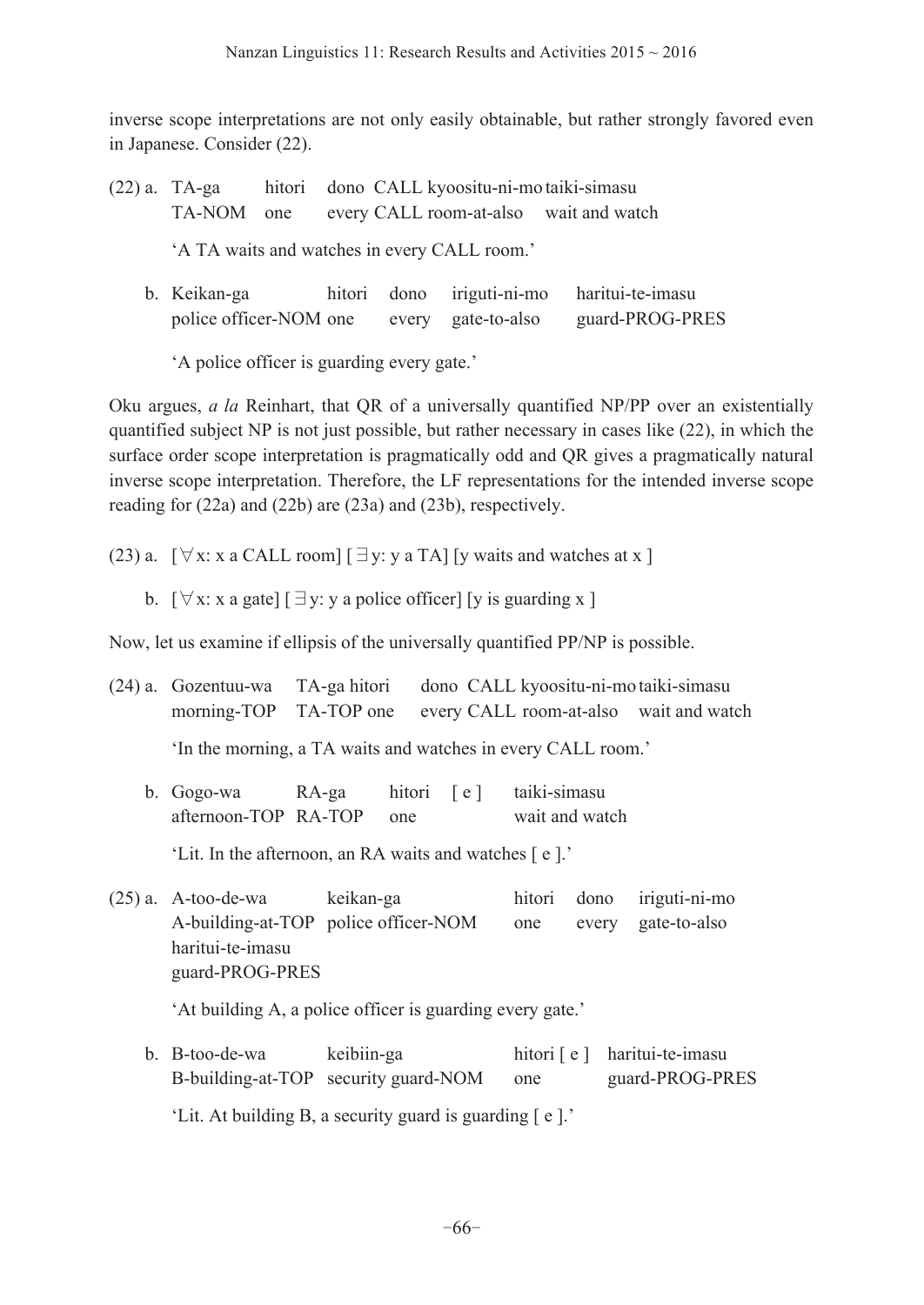inverse scope interpretations are not only easily obtainable, but rather strongly favored even in Japanese. Consider (22).

- (22) a. TA-ga hitori dono CALL kyoositu-ni-mo taiki-simasu TA-NOM one every CALL room-at-also wait and watch 'A TA waits and watches in every CALL room.'
	- b. Keikan-ga hitori dono iriguti-ni-mo haritui-te-imasu police officer-NOM one every gate-to-also guard-PROG-PRES

'A police officer is guarding every gate.'

Oku argues, *a la* Reinhart, that QR of a universally quantified NP/PP over an existentially quantified subject NP is not just possible, but rather necessary in cases like (22), in which the surface order scope interpretation is pragmatically odd and QR gives a pragmatically natural inverse scope interpretation. Therefore, the LF representations for the intended inverse scope reading for (22a) and (22b) are (23a) and (23b), respectively.

- $(23)$  a.  $[\forall x: x \text{ a CALL room}] [\exists y: y \text{ a TA}]$  [y waits and watches at x ]
- b.  $[\forall x: x \text{ a gate}] [\exists y: y \text{ a police officer}]$  [y is guarding x ]

Now, let us examine if ellipsis of the universally quantified PP/NP is possible.

- (24) a. Gozentuu-wa TA-ga hitori dono CALL kyoositu-ni-mo taiki-simasu morning-TOP TA-TOP one every CALL room-at-also wait and watch 'In the morning, a TA waits and watches in every CALL room.'
	- b. Gogo-wa RA-ga hitori [e] taiki-simasu afternoon-TOP RA-TOP one wait and watch

'Lit. In the afternoon, an RA waits and watches [ e ].'

(25) a. A-too-de-wa keikan-ga hitori dono iriguti-ni-mo A-building-at-TOP police officer-NOM one every gate-to-also haritui-te-imasu guard-PROG-PRES

'At building A, a police officer is guarding every gate.'

b. B-too-de-wa keibiin-ga hitori [ e ] haritui-te-imasu B-building-at-TOP security guard-NOM one guard-PROG-PRES

'Lit. At building B, a security guard is guarding [ e ].'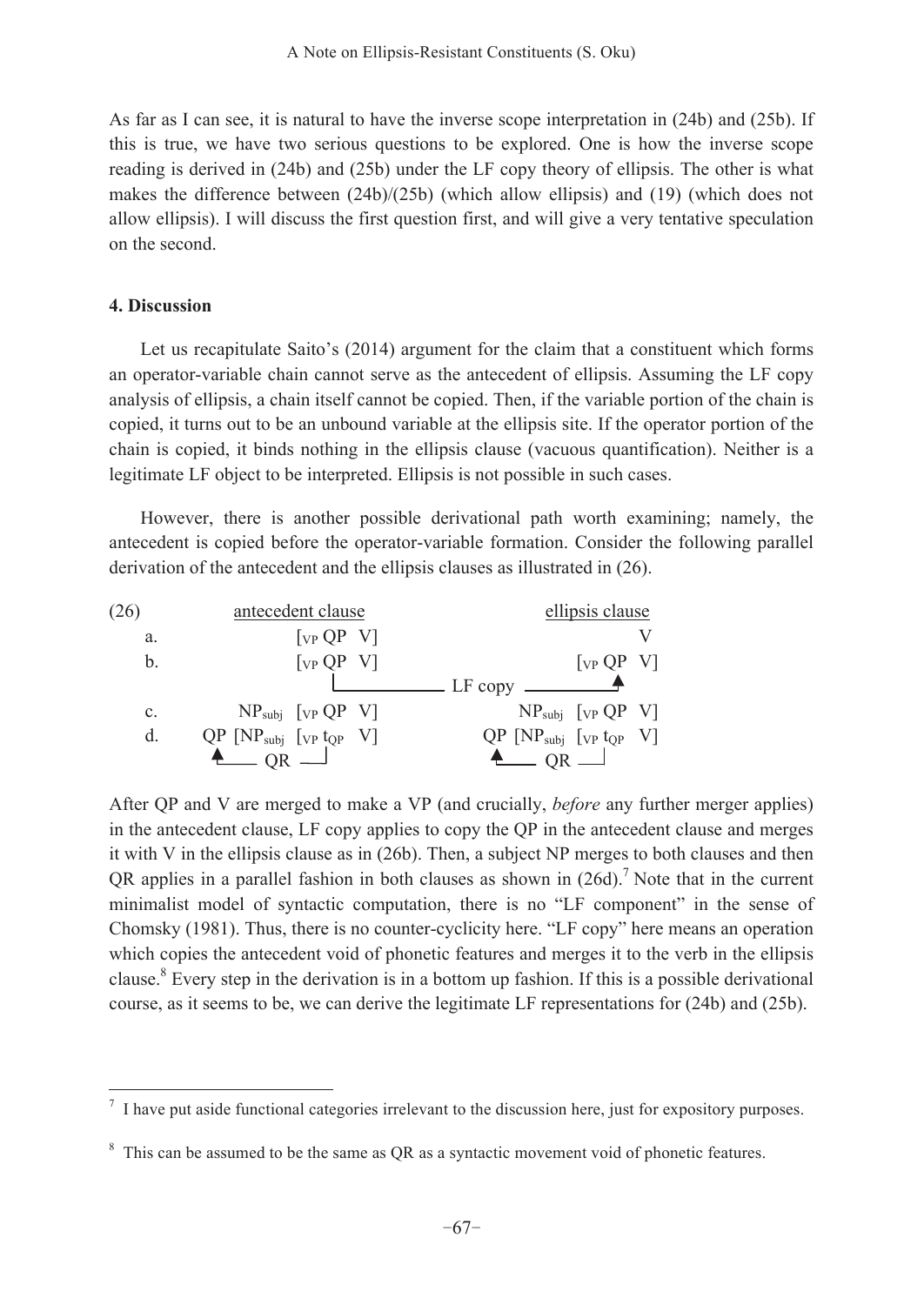As far as I can see, it is natural to have the inverse scope interpretation in (24b) and (25b). If this is true, we have two serious questions to be explored. One is how the inverse scope reading is derived in (24b) and (25b) under the LF copy theory of ellipsis. The other is what makes the difference between  $(24b)/(25b)$  (which allow ellipsis) and (19) (which does not allow ellipsis). I will discuss the first question first, and will give a very tentative speculation on the second.

#### **4. Discussion**

 $\overline{a}$ 

 Let us recapitulate Saito's (2014) argument for the claim that a constituent which forms an operator-variable chain cannot serve as the antecedent of ellipsis. Assuming the LF copy analysis of ellipsis, a chain itself cannot be copied. Then, if the variable portion of the chain is copied, it turns out to be an unbound variable at the ellipsis site. If the operator portion of the chain is copied, it binds nothing in the ellipsis clause (vacuous quantification). Neither is a legitimate LF object to be interpreted. Ellipsis is not possible in such cases.

However, there is another possible derivational path worth examining; namely, the antecedent is copied before the operator-variable formation. Consider the following parallel derivation of the antecedent and the ellipsis clauses as illustrated in (26).



After QP and V are merged to make a VP (and crucially, *before* any further merger applies) in the antecedent clause, LF copy applies to copy the QP in the antecedent clause and merges it with V in the ellipsis clause as in (26b). Then, a subject NP merges to both clauses and then QR applies in a parallel fashion in both clauses as shown in  $(26d)$ .<sup>7</sup> Note that in the current minimalist model of syntactic computation, there is no "LF component" in the sense of Chomsky (1981). Thus, there is no counter-cyclicity here. "LF copy" here means an operation which copies the antecedent void of phonetic features and merges it to the verb in the ellipsis clause.8 Every step in the derivation is in a bottom up fashion. If this is a possible derivational course, as it seems to be, we can derive the legitimate LF representations for (24b) and (25b).

<sup>7</sup> I have put aside functional categories irrelevant to the discussion here, just for expository purposes.

 $8$  This can be assumed to be the same as QR as a syntactic movement void of phonetic features.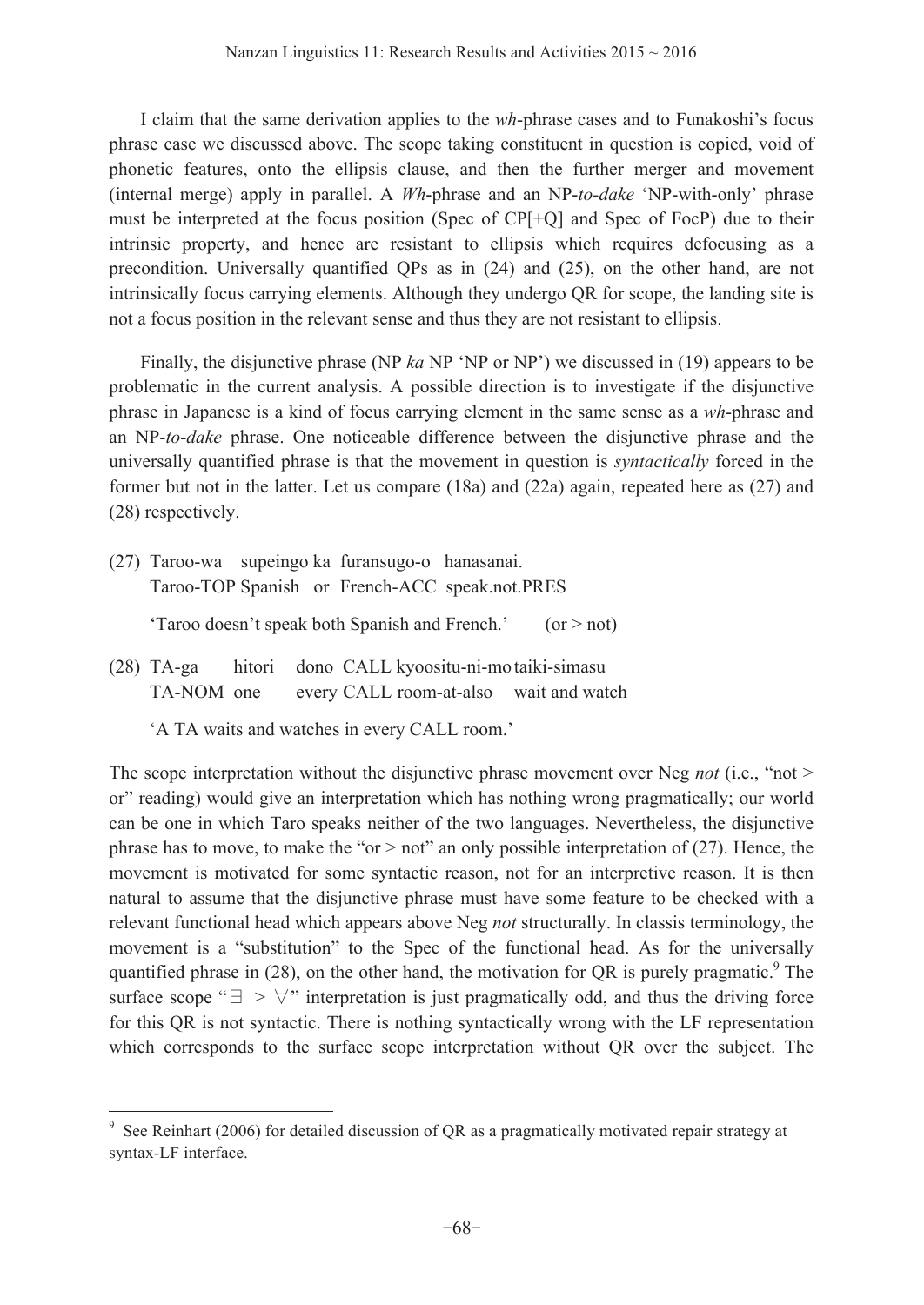I claim that the same derivation applies to the *wh*-phrase cases and to Funakoshi's focus phrase case we discussed above. The scope taking constituent in question is copied, void of phonetic features, onto the ellipsis clause, and then the further merger and movement (internal merge) apply in parallel. A *Wh*-phrase and an NP-*to-dake* 'NP-with-only' phrase must be interpreted at the focus position (Spec of CP[+Q] and Spec of FocP) due to their intrinsic property, and hence are resistant to ellipsis which requires defocusing as a precondition. Universally quantified QPs as in (24) and (25), on the other hand, are not intrinsically focus carrying elements. Although they undergo QR for scope, the landing site is not a focus position in the relevant sense and thus they are not resistant to ellipsis.

 Finally, the disjunctive phrase (NP *ka* NP 'NP or NP') we discussed in (19) appears to be problematic in the current analysis. A possible direction is to investigate if the disjunctive phrase in Japanese is a kind of focus carrying element in the same sense as a *wh*-phrase and an NP-*to-dake* phrase. One noticeable difference between the disjunctive phrase and the universally quantified phrase is that the movement in question is *syntactically* forced in the former but not in the latter. Let us compare (18a) and (22a) again, repeated here as (27) and (28) respectively.

- (27) Taroo-wa supeingo ka furansugo-o hanasanai. Taroo-TOP Spanish or French-ACC speak.not.PRES 'Taroo doesn't speak both Spanish and French.' (or  $>$  not)
- (28) TA-ga hitori dono CALL kyoositu-ni-mo taiki-simasu TA-NOM one every CALL room-at-also wait and watch
	- 'A TA waits and watches in every CALL room.'

 $\overline{a}$ 

The scope interpretation without the disjunctive phrase movement over Neg *not* (i.e., "not > or" reading) would give an interpretation which has nothing wrong pragmatically; our world can be one in which Taro speaks neither of the two languages. Nevertheless, the disjunctive phrase has to move, to make the " $or$  > not" an only possible interpretation of (27). Hence, the movement is motivated for some syntactic reason, not for an interpretive reason. It is then natural to assume that the disjunctive phrase must have some feature to be checked with a relevant functional head which appears above Neg *not* structurally. In classis terminology, the movement is a "substitution" to the Spec of the functional head. As for the universally quantified phrase in  $(28)$ , on the other hand, the motivation for QR is purely pragmatic.<sup>9</sup> The surface scope " $\exists$  >  $\forall$ " interpretation is just pragmatically odd, and thus the driving force for this QR is not syntactic. There is nothing syntactically wrong with the LF representation which corresponds to the surface scope interpretation without QR over the subject. The

<sup>&</sup>lt;sup>9</sup> See Reinhart (2006) for detailed discussion of QR as a pragmatically motivated repair strategy at syntax-LF interface.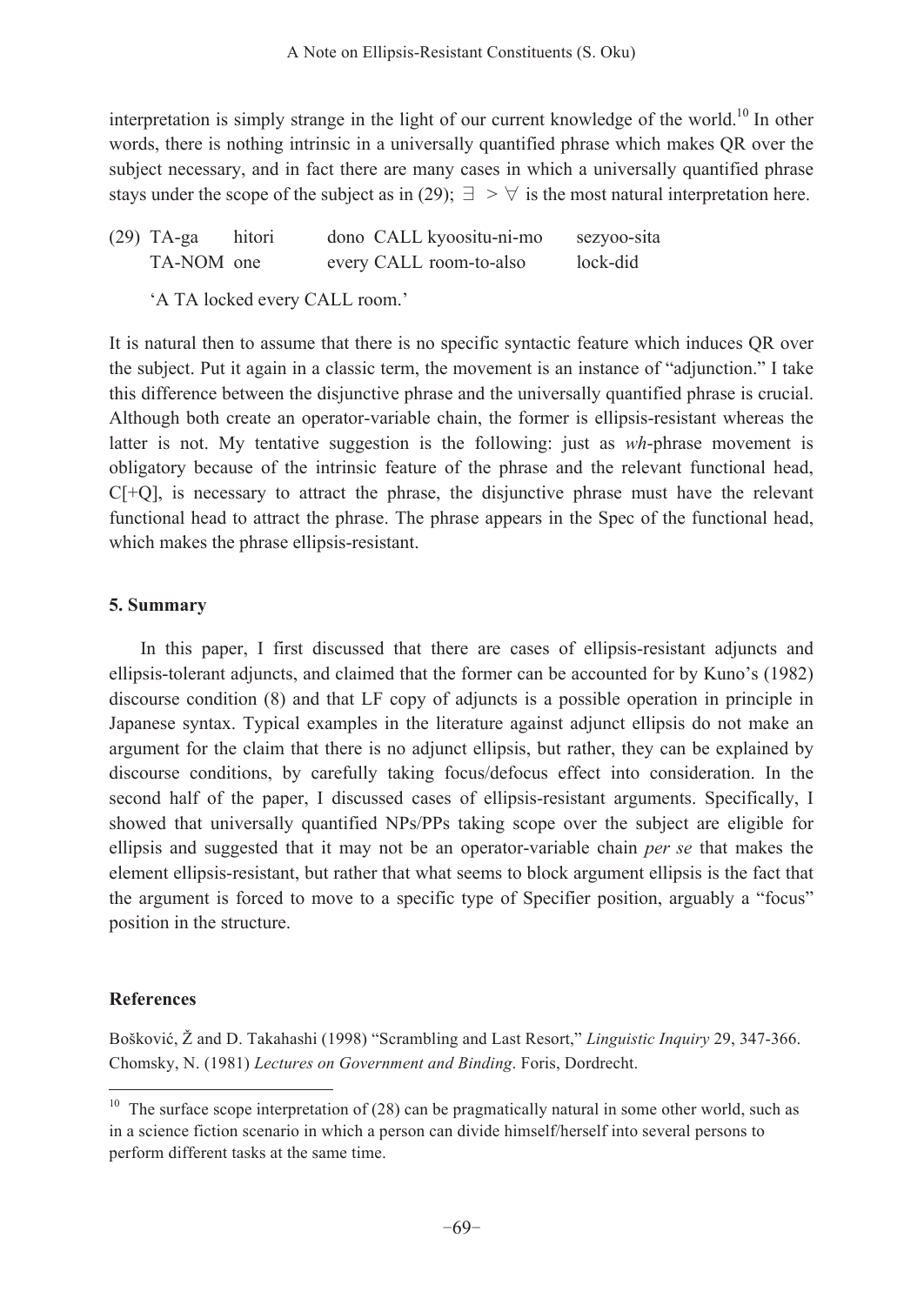interpretation is simply strange in the light of our current knowledge of the world.<sup>10</sup> In other words, there is nothing intrinsic in a universally quantified phrase which makes QR over the subject necessary, and in fact there are many cases in which a universally quantified phrase stays under the scope of the subject as in (29);  $\exists > \forall$  is the most natural interpretation here.

| $(29)$ TA-ga | hitori | dono CALL kyoositu-ni-mo | sezyoo-sita |
|--------------|--------|--------------------------|-------------|
| TA-NOM one   |        | every CALL room-to-also  | lock-did    |

'A TA locked every CALL room.'

It is natural then to assume that there is no specific syntactic feature which induces QR over the subject. Put it again in a classic term, the movement is an instance of "adjunction." I take this difference between the disjunctive phrase and the universally quantified phrase is crucial. Although both create an operator-variable chain, the former is ellipsis-resistant whereas the latter is not. My tentative suggestion is the following: just as *wh*-phrase movement is obligatory because of the intrinsic feature of the phrase and the relevant functional head,  $C[+Q]$ , is necessary to attract the phrase, the disjunctive phrase must have the relevant functional head to attract the phrase. The phrase appears in the Spec of the functional head, which makes the phrase ellipsis-resistant.

# **5. Summary**

 In this paper, I first discussed that there are cases of ellipsis-resistant adjuncts and ellipsis-tolerant adjuncts, and claimed that the former can be accounted for by Kuno's (1982) discourse condition (8) and that LF copy of adjuncts is a possible operation in principle in Japanese syntax. Typical examples in the literature against adjunct ellipsis do not make an argument for the claim that there is no adjunct ellipsis, but rather, they can be explained by discourse conditions, by carefully taking focus/defocus effect into consideration. In the second half of the paper, I discussed cases of ellipsis-resistant arguments. Specifically, I showed that universally quantified NPs/PPs taking scope over the subject are eligible for ellipsis and suggested that it may not be an operator-variable chain *per se* that makes the element ellipsis-resistant, but rather that what seems to block argument ellipsis is the fact that the argument is forced to move to a specific type of Specifier position, arguably a "focus" position in the structure.

# **References**

 $\overline{a}$ 

Bošković, Ž and D. Takahashi (1998) "Scrambling and Last Resort," *Linguistic Inquiry* 29, 347-366. Chomsky, N. (1981) *Lectures on Government and Binding*. Foris, Dordrecht.

 $10$  The surface scope interpretation of (28) can be pragmatically natural in some other world, such as in a science fiction scenario in which a person can divide himself/herself into several persons to perform different tasks at the same time.